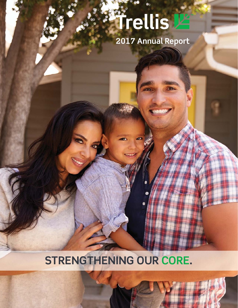# **Trellis La**

**2017 Annual Report**

# **STRENGTHENING OUR CORE.**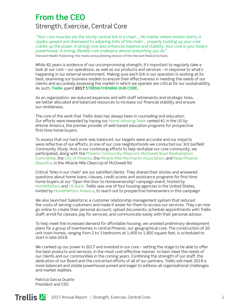#### **From the CEO** Strength, Exercise, Central Core

*"Your core muscles are the sturdy central link in a chain ... No matter where motion starts, it*  ripples upward and downward to adjoining links of the chain ... properly building up your core *cranks up the power. A strong core also enhances balance and stability. Your core is your body's*  powerhouse. A strong, flexible core underpins almost everything you do." (Harvard Health Publishing, the media and publishing division of the Harvard Medical School).

While 42 years is evidence of our uncompromising strength, it's important to regularly take a look at our core – our operations, as well as our products and services – in response to what's happening in our external environment. Making sure each link in our operation is working at its best, examining our business models to ensure their effectiveness in meeting the needs of our clients and accurately assessing the market in which we operate are critical for our sustainability. As such, **Trellis** *spent* **2017 STRENGTHENING OUR CORE.**

As an organization, we reduced expenses and with staff retirements and strategic hires, we better allocated and balanced resources to increase our financial stability and ensure our nimbleness.

The core of the work that Trellis does has always been in counseling and education. Our efforts were rewarded by having our Home Advising Team ranked #1 in the US by eHome America, the premier provider of web-based education programs for prospective first-time home-buyers.

To assess that our hard work was balanced, our targets were accurate and our impacts were reflective of our efforts, in one of our core neighborhoods we conducted our 3rd *Garfield Community Study*. And, in our continuing eff orts to help revitalize our core community, we participated, along with the Phoenix Community Alliance's McDowell Road Revitalization Committee, the City of Phoenix, the Miracle Mile Merchants Association, and Keep Phoenix Beautiful, in the *Miracle Mile Clean-Up* of McDowell Rd.

Critical "links in our chain" are our satisfied clients. They shared their stories and answered questions about home loans, classes, credit scores and assistance programs for first-time home-buyers at our "*Open the Door to Homeownership*" campaign event, hosted by HomeMatters and US Bank. Trellis was one of four housing agencies in the United States, invited by HomeMatters America, to reach out to prospective homeowners in this campaign.

We also launched *SalesForce*, a customer relationship management system that reduced the costs of serving customers and made it easier for them to access our services. They can now go online to create their personal account; upload documents; schedule appointments with Trellis staff; enroll for classes; pay for services; and communicate easily with their personal advisor.

To help meet the increased demand for affordable housing, we unveiled preliminary development plans for a group of townhomes in central Phoenix, our geographical core. The construction of 20 unit town homes, ranging from 2 to 3 bedrooms at 1,400 to 1,800 square feet, is scheduled to start in late-2018.

We cranked up our power in 2017 and invested in our core  $-$  setting the stage to be able to offer the best products and services, in the most cost-effective manner, to best meet the needs of our clients and our communities in the coming years. Combining the strength of our staff , the dedication of our Board and the concerted efforts of all of our partners, Trellis will meet 2018 a more balanced and stable powerhouse poised and eager to address all organizational challenges and market realities.

Patricia Garcia Duarte President and CEO

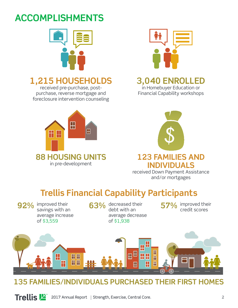# **ACCOMPLISHMENTS**



# **1,215 HOUSEHOLDS**

received pre-purchase, postpurchase, reverse mortgage and foreclosure intervention counseling





#### **3,040 ENROLLED**

in Homebuyer Education or Financial Capability workshops



received Down Payment Assistance and/or mortgages

# **Trellis Financial Capability Participants**

improved their savings with an average increase of \$3,559

**92%** improved their **63%** decreased their **67%** improved their **63%** debt with an average decrease of \$1,938

**57%** improved their credit scores



#### **135 FAMILIES/INDIVIDUALS PURCHASED THEIR FIRST HOMES**

**Trellis E** 2017 Annual Report Strength, Exercise, Central Core. Core 2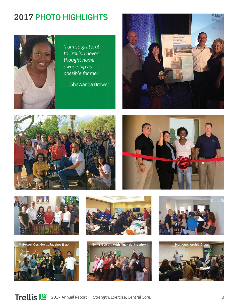## **2017 PHOTO HIGHLIGHTS**



"*I am so grateful to Trellis. I never thought home ownership as possible for me.*"

ShaWanda Brewer









McDowell Corridor ...Jazzing it up!







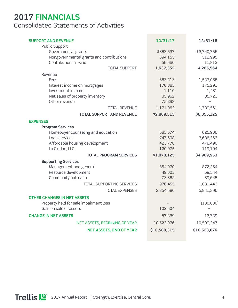#### **2017 FINANCIALS** Consolidated Statements of Activities

| <b>SUPPORT AND REVENUE</b><br>Public Support                                             | 12/31/17                       | 12/31/16                         |
|------------------------------------------------------------------------------------------|--------------------------------|----------------------------------|
| Governmental grants<br>Nongovernmental grants and contributions<br>Contributions in-kind | \$883,537<br>694,155<br>59,660 | \$3,740,756<br>512,995<br>11,813 |
| <b>TOTAL SUPPORT</b>                                                                     | 1,637,352                      | 4,265,564                        |
| Revenue                                                                                  |                                |                                  |
| Fees                                                                                     | 883,213                        | 1,527,066                        |
| Interest income on mortgages                                                             | 176,385                        | 175,291                          |
| Investment income                                                                        | 1,110                          | 1,481                            |
| Net sales of property inventory                                                          | 35,962                         | 85,723                           |
| Other revenue                                                                            | 75,293                         |                                  |
| <b>TOTAL REVENUE</b>                                                                     | 1,171,963                      | 1,789,561                        |
| <b>TOTAL SUPPORT AND REVENUE</b>                                                         | \$2,809,315                    | \$6,055,125                      |
| <b>EXPENSES</b>                                                                          |                                |                                  |
| <b>Program Services</b>                                                                  |                                |                                  |
| Homebuyer counseling and education                                                       | 585,674                        | 625,906                          |
| Loan services                                                                            | 747,698                        | 3,686,363                        |
| Affordable housing development                                                           | 423,778                        | 478,490                          |
| La Ciudad, LLC                                                                           | 120,975                        | 119,194                          |
| <b>TOTAL PROGRAM SERVICES</b>                                                            | \$1,878,125                    | \$4,909,953                      |
| <b>Supporting Services</b>                                                               |                                |                                  |
| Management and general                                                                   | 854,070                        | 872,254                          |
| Resource development                                                                     | 49,003                         | 69,544                           |
| Community outreach                                                                       | 73,382                         | 89,645                           |
| TOTAL SUPPORTING SERVICES                                                                | 976,455                        | 1,031,443                        |
| <b>TOTAL EXPENSES</b>                                                                    | 2,854,580                      | 5,941,396                        |
| <b>OTHER CHANGES IN NET ASSETS</b>                                                       |                                |                                  |
| Property held for sale impairment loss                                                   |                                | (100,000)                        |
| Gain on sale of assets                                                                   | 102,504                        |                                  |
| <b>CHANGE IN NET ASSETS</b>                                                              | 57,239                         | 13,729                           |
| NET ASSETS, BEGINNING OF YEAR                                                            | 10,523,076                     | 10,509,347                       |
| <b>NET ASSETS, END OF YEAR</b>                                                           | \$10,580,315                   | \$10,523,076                     |
|                                                                                          |                                |                                  |

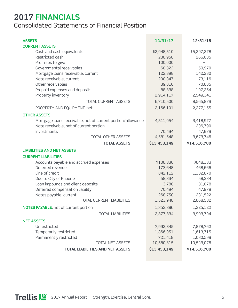#### **2017 FINANCIALS**

Consolidated Statements of Financial Position

| <b>ASSETS</b><br><b>CURRENT ASSETS</b>                      | 12/31/17     | 12/31/16     |
|-------------------------------------------------------------|--------------|--------------|
| Cash and cash equivalents                                   | \$2,948,510  | \$5,297,278  |
| Restricted cash                                             | 236,958      | 266,085      |
| Promises to give                                            | 100,000      |              |
| Governmental receivables                                    | 60,322       | 59,970       |
| Mortgage loans receivable, current                          | 122,398      | 142,230      |
| Note receivable, current                                    | 200,847      | 73,116       |
| Other receivables                                           | 39,010       | 70,605       |
| Prepaid expenses and deposits                               | 88,338       | 107,254      |
| Property inventory                                          | 2,914,117    | 2,549,341    |
| <b>TOTAL CURRENT ASSETS</b>                                 | 6,710,500    | 8,565,879    |
| PROPERTY AND EQUIPMENT, net                                 | 2,166,101    | 2,277,155    |
| <b>OTHER ASSETS</b>                                         |              |              |
| Mortgage loans receivable, net of current portion/allowance | 4,511,054    | 3,418,977    |
| Note receivable, net of current portion                     |              | 206,790      |
| Investments                                                 | 70,494       | 47,979       |
| TOTAL OTHER ASSETS                                          | 4,581,548    | 3,673,746    |
| <b>TOTAL ASSETS</b>                                         | \$13,458,149 | \$14,516,780 |
| <b>LIABILITIES AND NET ASSETS</b>                           |              |              |
| <b>CURRENT LIABILITIES</b>                                  |              |              |
| Accounts payable and accrued expenses                       | \$106,830    | \$648,133    |
| Deferred revenue                                            | 173,648      | 468,666      |
| Line of credit                                              | 842,112      | 1,132,870    |
| Due to City of Phoenix                                      | 58,334       | 58,334       |
| Loan impounds and client deposits                           | 3,780        | 81,078       |
| Deferred compensation liability                             | 70,494       | 47,979       |
| Notes payable, current                                      | 268,750      | 231,522      |
| TOTAL CURRENT LIABILITIES                                   | 1,523,948    | 2,668,582    |
| NOTES PAYABLE, net of current portion                       | 1,353,886    | 1,325,122    |
| <b>TOTAL LIABILITIES</b>                                    | 2,877,834    | 3,993,704    |
| <b>NET ASSETS</b>                                           |              |              |
| Unrestricted                                                | 7,992,845    | 7,878,762    |
| Temporarily restricted                                      | 1,866,051    | 1,613,715    |
| Permanently restricted                                      | 721,419      | 1,030,599    |
| TOTAL NET ASSETS                                            | 10,580,315   | 10,523,076   |
| <b>TOTAL LIABILITIES AND NET ASSETS</b>                     | \$13,458,149 | \$14,516,780 |

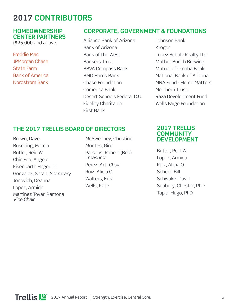## **2017 CONTRIBUTORS**

#### **HOMEOWNERSHIP CENTER PARTNERS**

(\$25,000 and above)

Freddie Mac JPMorgan Chase State Farm Bank of America Nordstrom Bank

#### **CORPORATE, GOVERNMENT & FOUNDATIONS**

Alliance Bank of Arizona Bank of Arizona Bank of the West Bankers Trust BBVA Compass Bank BMO Harris Bank Chase Foundation Comerica Bank Desert Schools Federal C.U. Fidelity Charitable First Bank

Johnson Bank Kroger Lopez Schulz Realty LLC Mother Bunch Brewing Mutual of Omaha Bank National Bank of Arizona NNA Fund - Home Matters Northern Trust Raza Development Fund Wells Fargo Foundation

#### **THE 2017 TRELLIS BOARD OF DIRECTORS**

Brown, Dave Busching, Marcia Butler, Reid W. Chin Foo, Angelo Eisenbarth Hager, CJ Gonzalez, Sarah, *Secretary* Jonovich, Deanna Lopez, Armida Martinez Tovar, Ramona *Vice Chair*

McSweeney, Christine Montes, Gina Parsons, Robert (Bob) *Treasurer* Perez, Art, *Chair* Ruiz, Alicia O. Walters, Erik Wells, Kate

#### **2017 TRELLIS COMMUNITY DEVELOPMENT**

Butler, Reid W. Lopez, Armida Ruiz, Alicia O. Scheel, Bill Schwake, David Seabury, Chester, PhD Tapia, Hugo, PhD